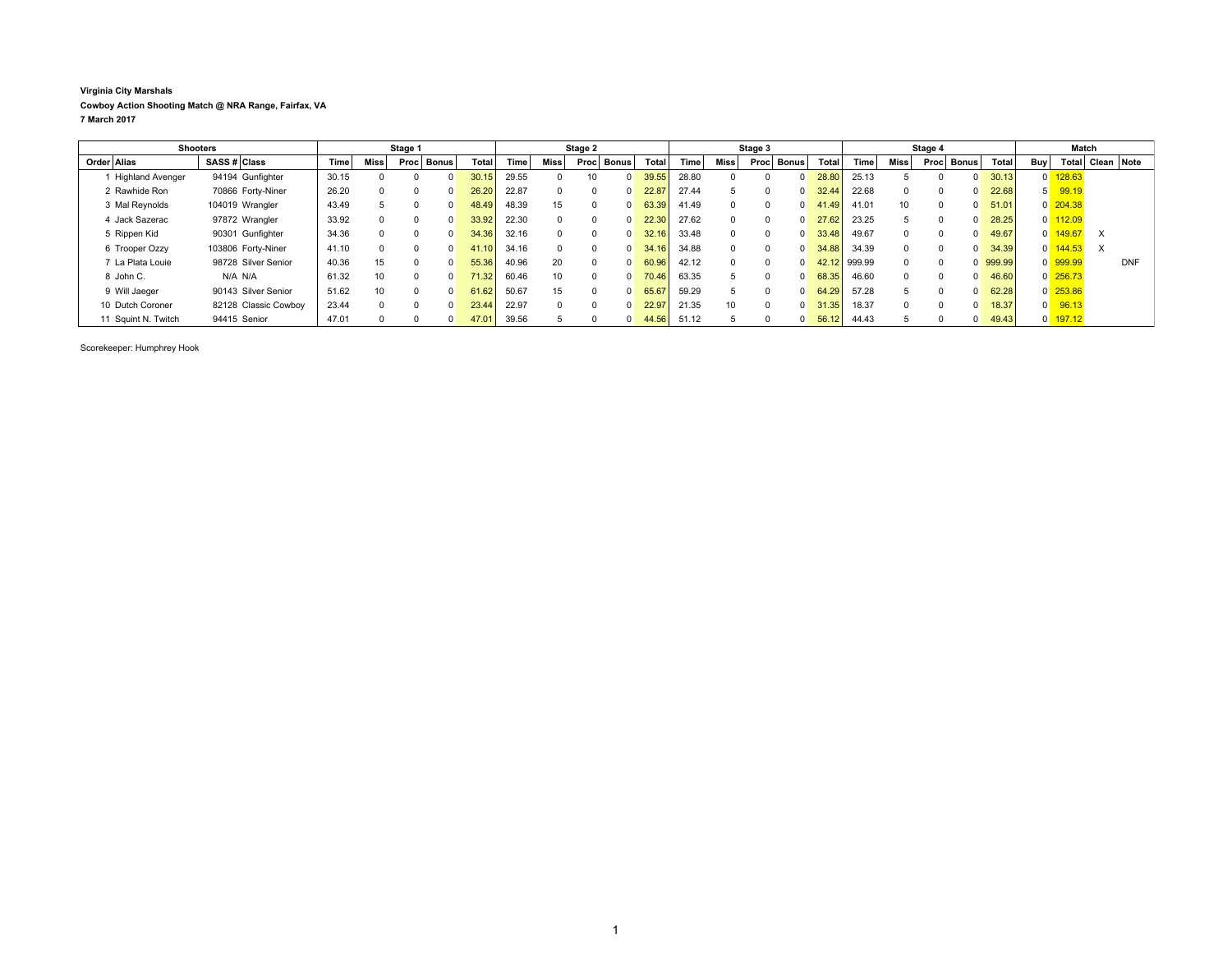## **Virginia City Marshals Cowboy Action Shooting Match @ NRA Range, Fairfax, VA 7 March 2017**

| <b>Shooters</b>         |              | Stage 1              |             |                 |          | Stage 2    |                    |             |        | Stage 3      |                      |              |       | Stage 4      |      |              |       | Match  |              |       |              |              |                |                       |                  |            |
|-------------------------|--------------|----------------------|-------------|-----------------|----------|------------|--------------------|-------------|--------|--------------|----------------------|--------------|-------|--------------|------|--------------|-------|--------|--------------|-------|--------------|--------------|----------------|-----------------------|------------------|------------|
| Order Alias             | SASS # Class |                      | <b>Time</b> | <b>Miss</b>     |          | Proc Bonus | Total              | <b>Time</b> | Miss l | Proc         | ⊤ Bonus <sup>∣</sup> | <b>Total</b> | Time  | Miss         | Proc | <b>Bonus</b> | Total | Time   | <b>Miss</b>  | Procl | <b>Bonus</b> | <b>Total</b> | <b>Buv</b>     |                       | Total Clean Note |            |
| <b>Highland Avenger</b> |              | 94194 Gunfighter     | 30.15       |                 |          |            |                    | 29.55       |        | 10           | $\overline{0}$       | 39.55        | 28.80 |              |      | $\Omega$     | 28.80 | 25.13  |              |       |              | 30.13        |                | $0$ 128.63            |                  |            |
| 2 Rawhide Ron           |              | 70866 Forty-Niner    | 26.20       |                 |          |            | 26.20              | 22.87       |        | $\Omega$     | $\Omega$             | 22.87        | 27.44 |              |      | $\Omega$     | 32.44 | 22.68  | $\Omega$     |       |              | 22.68        | 5              | 99.19                 |                  |            |
| 3 Mal Reynolds          |              | 104019 Wrangler      | 43.49       |                 |          | n.         | 48.49              | 48.39       | 15     | 0            | $\Omega$             | 63.39        | 41.49 |              |      | $\Omega$     | 41.49 | 41.01  | 10           |       |              | 51.01        |                | $0$ 204.38            |                  |            |
| 4 Jack Sazerac          |              | 97872 Wrangler       | 33.92       |                 |          |            | 33.92              | 22.30       |        | $\Omega$     | $\Omega$             | 22.30        | 27.62 | <sup>0</sup> |      | $\Omega$     | 27.62 | 23.25  |              |       |              | 28.25        |                | $0$ 112.09            |                  |            |
| 5 Rippen Kid            |              | 90301 Gunfighter     | 34.36       |                 |          |            | 34.36              | 32.16       |        | $\Omega$     | $\Omega$             | 32.16        | 33.48 |              |      | $\Omega$     | 33.48 | 49.67  | $\Omega$     |       |              | 49.67        | $\overline{0}$ | 149.67                | X                |            |
| 6 Trooper Ozzy          |              | 103806 Forty-Niner   | 41.10       |                 |          |            | 41.10              | 34.16       |        | $\Omega$     | $\Omega$             | 34.16        | 34.88 | $\Omega$     |      | $\Omega$     | 34.88 | 34.39  | $\Omega$     |       |              | 34.39        |                | $0 \overline{144.53}$ | $\times$         |            |
| 7 La Plata Louie        |              | 98728 Silver Senior  | 40.36       | 15              |          |            | 55.36              | 40.96       | 20     | $\Omega$     | $\Omega$             | 60.96        | 42.12 | $\Omega$     |      | $\Omega$     | 42.12 | 999.99 | $\Omega$     |       |              | 999.99       |                | 0 999.99              |                  | <b>DNF</b> |
| 8 John C.               |              | N/A N/A              | 61.32       | 10 <sup>1</sup> | $\Omega$ | $\Omega$   | 71.32 <sub>1</sub> | 60.46       | 10     | $\Omega$     | $\Omega$             | 70.46        | 63.35 | $\mathbf{b}$ |      | $\Omega$     | 68.35 | 46.60  | $\Omega$     |       |              | 46.60        |                | $0\overline{256.73}$  |                  |            |
| 9 Will Jaeger           |              | 90143 Silver Senior  | 51.62       | 10              |          |            | 61.62              | 50.67       | 15     | 0            | $\Omega$             | 65.67        | 59.29 |              |      | $\Omega$     | 64.29 | 57.28  | $\mathbf{b}$ |       |              | 62.28        |                | $0$ 253.86            |                  |            |
| 10 Dutch Coroner        |              | 82128 Classic Cowboy | 23.44       |                 |          |            | 23.44              | 22.97       |        | <sup>n</sup> | $\Omega$             | 22.97        | 21.35 | 10           |      | $\Omega$     | 31.35 | 18.37  | $\Omega$     |       |              | 18.37        | $\mathbf{0}$   | 96.13                 |                  |            |
| 11 Squint N. Twitch     |              | 94415 Senior         | 47.01       |                 |          |            | 47.01              | 39.56       |        |              | $\overline{0}$       | 44.56        | 51.12 |              |      | $\Omega$     | 56.12 | 44.43  |              |       |              | 49.43        |                | $0$ 197.12            |                  |            |

Scorekeeper: Humphrey Hook